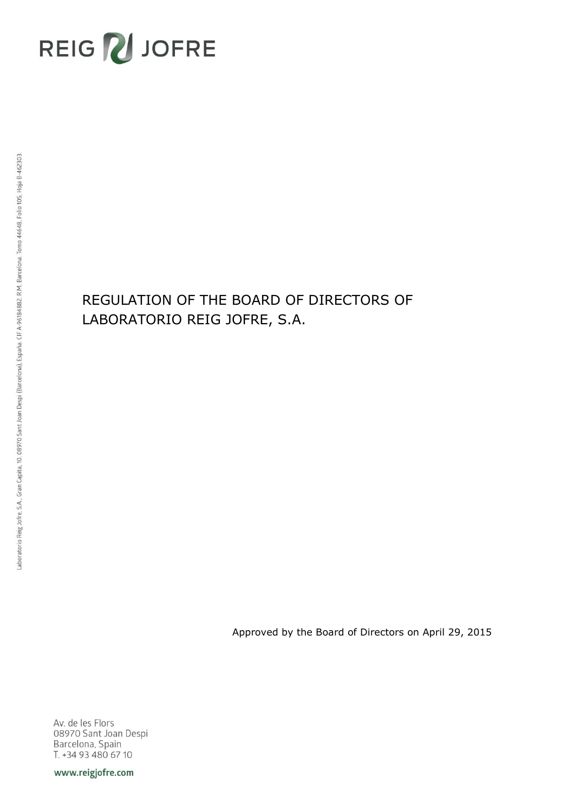# REIG VJOFRE

## REGULATION OF THE BOARD OF DIRECTORS OF LABORATORIO REIG JOFRE, S.A.

Approved by the Board of Directors on April 29, 2015

Av. de les Flors 08970 Sant Joan Despi Barcelona, Spain T. +34 93 480 67 10

www.reigjofre.com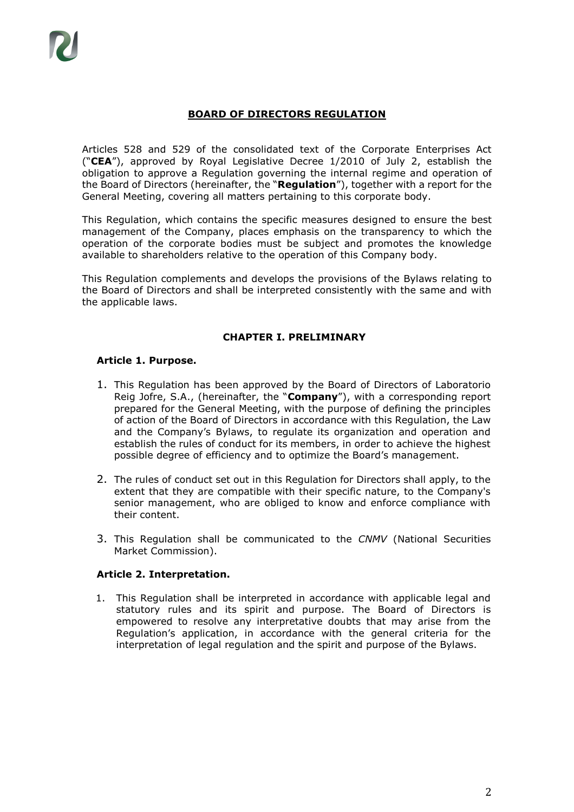## **BOARD OF DIRECTORS REGULATION**

Articles 528 and 529 of the consolidated text of the Corporate Enterprises Act ("**CEA**"), approved by Royal Legislative Decree 1/2010 of July 2, establish the obligation to approve a Regulation governing the internal regime and operation of the Board of Directors (hereinafter, the "**Regulation**"), together with a report for the General Meeting, covering all matters pertaining to this corporate body.

This Regulation, which contains the specific measures designed to ensure the best management of the Company, places emphasis on the transparency to which the operation of the corporate bodies must be subject and promotes the knowledge available to shareholders relative to the operation of this Company body.

This Regulation complements and develops the provisions of the Bylaws relating to the Board of Directors and shall be interpreted consistently with the same and with the applicable laws.

## **CHAPTER I. PRELIMINARY**

## **Article 1. Purpose.**

- 1. This Regulation has been approved by the Board of Directors of Laboratorio Reig Jofre, S.A., (hereinafter, the "**Company**"), with a corresponding report prepared for the General Meeting, with the purpose of defining the principles of action of the Board of Directors in accordance with this Regulation, the Law and the Company's Bylaws, to regulate its organization and operation and establish the rules of conduct for its members, in order to achieve the highest possible degree of efficiency and to optimize the Board's management.
- 2. The rules of conduct set out in this Regulation for Directors shall apply, to the extent that they are compatible with their specific nature, to the Company's senior management, who are obliged to know and enforce compliance with their content.
- 3. This Regulation shall be communicated to the *CNMV* (National Securities Market Commission).

## **Article 2. Interpretation.**

1. This Regulation shall be interpreted in accordance with applicable legal and statutory rules and its spirit and purpose. The Board of Directors is empowered to resolve any interpretative doubts that may arise from the Regulation's application, in accordance with the general criteria for the interpretation of legal regulation and the spirit and purpose of the Bylaws.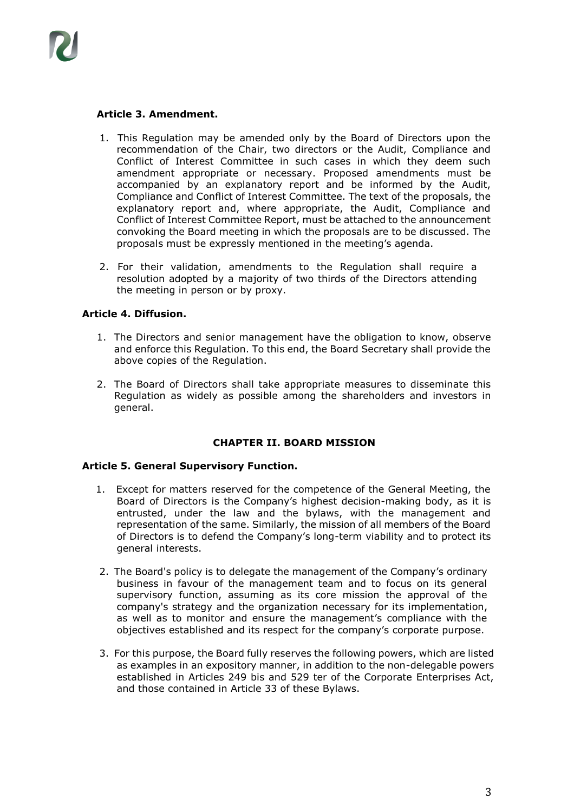

## **Article 3. Amendment.**

- 1. This Regulation may be amended only by the Board of Directors upon the recommendation of the Chair, two directors or the Audit, Compliance and Conflict of Interest Committee in such cases in which they deem such amendment appropriate or necessary. Proposed amendments must be accompanied by an explanatory report and be informed by the Audit, Compliance and Conflict of Interest Committee. The text of the proposals, the explanatory report and, where appropriate, the Audit, Compliance and Conflict of Interest Committee Report, must be attached to the announcement convoking the Board meeting in which the proposals are to be discussed. The proposals must be expressly mentioned in the meeting's agenda.
- 2. For their validation, amendments to the Regulation shall require a resolution adopted by a majority of two thirds of the Directors attending the meeting in person or by proxy.

## **Article 4. Diffusion.**

- 1. The Directors and senior management have the obligation to know, observe and enforce this Regulation. To this end, the Board Secretary shall provide the above copies of the Regulation.
- 2. The Board of Directors shall take appropriate measures to disseminate this Regulation as widely as possible among the shareholders and investors in general.

## **CHAPTER II. BOARD MISSION**

## **Article 5. General Supervisory Function.**

- 1. Except for matters reserved for the competence of the General Meeting, the Board of Directors is the Company's highest decision-making body, as it is entrusted, under the law and the bylaws, with the management and representation of the same. Similarly, the mission of all members of the Board of Directors is to defend the Company's long-term viability and to protect its general interests.
- 2. The Board's policy is to delegate the management of the Company's ordinary business in favour of the management team and to focus on its general supervisory function, assuming as its core mission the approval of the company's strategy and the organization necessary for its implementation, as well as to monitor and ensure the management's compliance with the objectives established and its respect for the company's corporate purpose.
- 3. For this purpose, the Board fully reserves the following powers, which are listed as examples in an expository manner, in addition to the non-delegable powers established in Articles 249 bis and 529 ter of the Corporate Enterprises Act, and those contained in Article 33 of these Bylaws.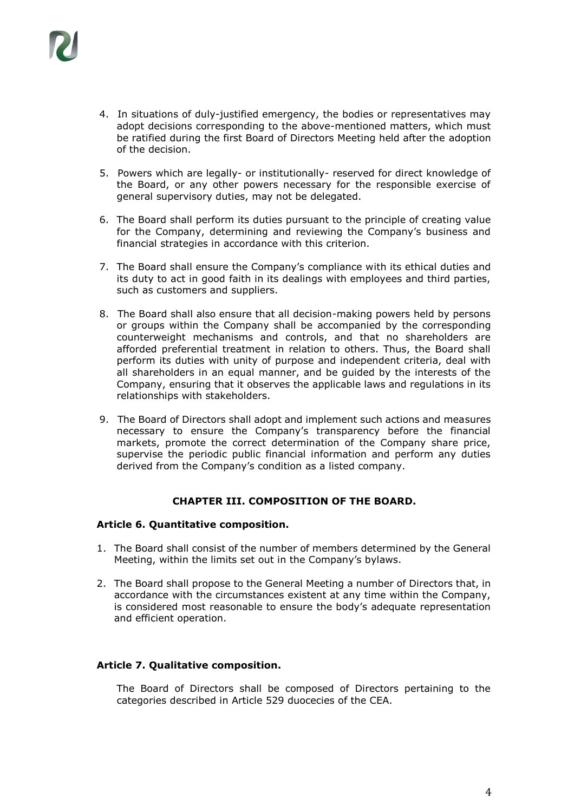

- 4. In situations of duly-justified emergency, the bodies or representatives may adopt decisions corresponding to the above-mentioned matters, which must be ratified during the first Board of Directors Meeting held after the adoption of the decision.
- 5. Powers which are legally- or institutionally- reserved for direct knowledge of the Board, or any other powers necessary for the responsible exercise of general supervisory duties, may not be delegated.
- 6. The Board shall perform its duties pursuant to the principle of creating value for the Company, determining and reviewing the Company's business and financial strategies in accordance with this criterion.
- 7. The Board shall ensure the Company's compliance with its ethical duties and its duty to act in good faith in its dealings with employees and third parties, such as customers and suppliers.
- 8. The Board shall also ensure that all decision-making powers held by persons or groups within the Company shall be accompanied by the corresponding counterweight mechanisms and controls, and that no shareholders are afforded preferential treatment in relation to others. Thus, the Board shall perform its duties with unity of purpose and independent criteria, deal with all shareholders in an equal manner, and be guided by the interests of the Company, ensuring that it observes the applicable laws and regulations in its relationships with stakeholders.
- 9. The Board of Directors shall adopt and implement such actions and measures necessary to ensure the Company's transparency before the financial markets, promote the correct determination of the Company share price, supervise the periodic public financial information and perform any duties derived from the Company's condition as a listed company.

## **CHAPTER III. COMPOSITION OF THE BOARD.**

## **Article 6. Quantitative composition.**

- 1. The Board shall consist of the number of members determined by the General Meeting, within the limits set out in the Company's bylaws.
- 2. The Board shall propose to the General Meeting a number of Directors that, in accordance with the circumstances existent at any time within the Company, is considered most reasonable to ensure the body's adequate representation and efficient operation.

## **Article 7. Qualitative composition.**

The Board of Directors shall be composed of Directors pertaining to the categories described in Article 529 duocecies of the CEA.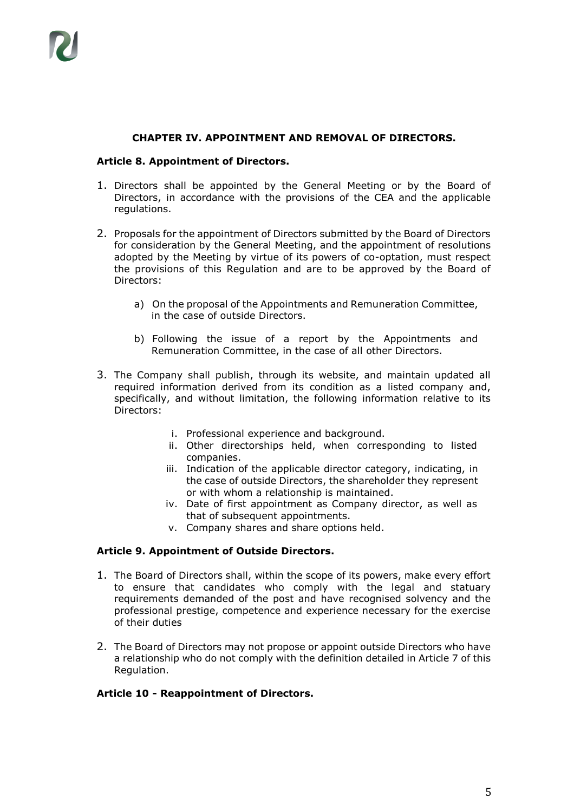## **CHAPTER IV. APPOINTMENT AND REMOVAL OF DIRECTORS.**

## **Article 8. Appointment of Directors.**

- 1. Directors shall be appointed by the General Meeting or by the Board of Directors, in accordance with the provisions of the CEA and the applicable regulations.
- 2. Proposals for the appointment of Directors submitted by the Board of Directors for consideration by the General Meeting, and the appointment of resolutions adopted by the Meeting by virtue of its powers of co-optation, must respect the provisions of this Regulation and are to be approved by the Board of Directors:
	- a) On the proposal of the Appointments and Remuneration Committee, in the case of outside Directors.
	- b) Following the issue of a report by the Appointments and Remuneration Committee, in the case of all other Directors.
- 3. The Company shall publish, through its website, and maintain updated all required information derived from its condition as a listed company and, specifically, and without limitation, the following information relative to its Directors:
	- i. Professional experience and background.
	- ii. Other directorships held, when corresponding to listed companies.
	- iii. Indication of the applicable director category, indicating, in the case of outside Directors, the shareholder they represent or with whom a relationship is maintained.
	- iv. Date of first appointment as Company director, as well as that of subsequent appointments.
	- v. Company shares and share options held.

## **Article 9. Appointment of Outside Directors.**

- 1. The Board of Directors shall, within the scope of its powers, make every effort to ensure that candidates who comply with the legal and statuary requirements demanded of the post and have recognised solvency and the professional prestige, competence and experience necessary for the exercise of their duties
- 2. The Board of Directors may not propose or appoint outside Directors who have a relationship who do not comply with the definition detailed in Article 7 of this Regulation.

## **Article 10 - Reappointment of Directors.**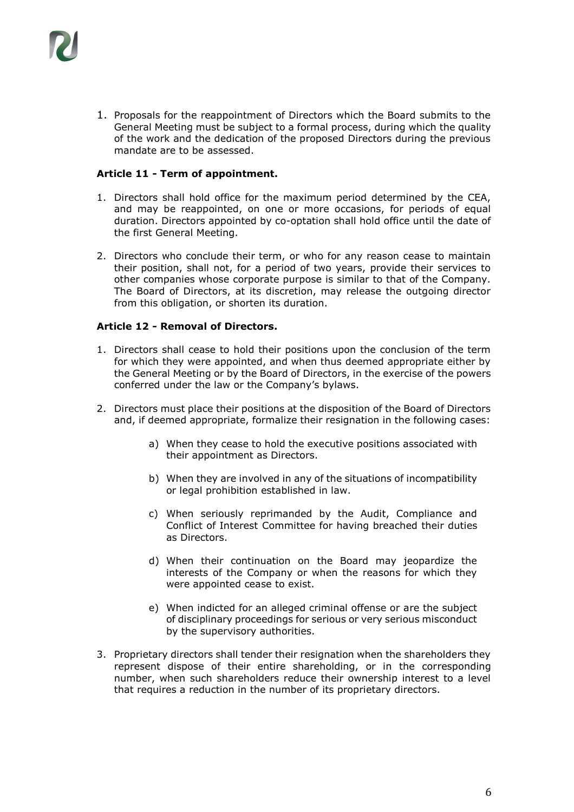1. Proposals for the reappointment of Directors which the Board submits to the General Meeting must be subject to a formal process, during which the quality of the work and the dedication of the proposed Directors during the previous mandate are to be assessed.

## **Article 11 - Term of appointment.**

- 1. Directors shall hold office for the maximum period determined by the CEA, and may be reappointed, on one or more occasions, for periods of equal duration. Directors appointed by co-optation shall hold office until the date of the first General Meeting.
- 2. Directors who conclude their term, or who for any reason cease to maintain their position, shall not, for a period of two years, provide their services to other companies whose corporate purpose is similar to that of the Company. The Board of Directors, at its discretion, may release the outgoing director from this obligation, or shorten its duration.

## **Article 12 - Removal of Directors.**

- 1. Directors shall cease to hold their positions upon the conclusion of the term for which they were appointed, and when thus deemed appropriate either by the General Meeting or by the Board of Directors, in the exercise of the powers conferred under the law or the Company's bylaws.
- 2. Directors must place their positions at the disposition of the Board of Directors and, if deemed appropriate, formalize their resignation in the following cases:
	- a) When they cease to hold the executive positions associated with their appointment as Directors.
	- b) When they are involved in any of the situations of incompatibility or legal prohibition established in law.
	- c) When seriously reprimanded by the Audit, Compliance and Conflict of Interest Committee for having breached their duties as Directors.
	- d) When their continuation on the Board may jeopardize the interests of the Company or when the reasons for which they were appointed cease to exist.
	- e) When indicted for an alleged criminal offense or are the subject of disciplinary proceedings for serious or very serious misconduct by the supervisory authorities.
- 3. Proprietary directors shall tender their resignation when the shareholders they represent dispose of their entire shareholding, or in the corresponding number, when such shareholders reduce their ownership interest to a level that requires a reduction in the number of its proprietary directors.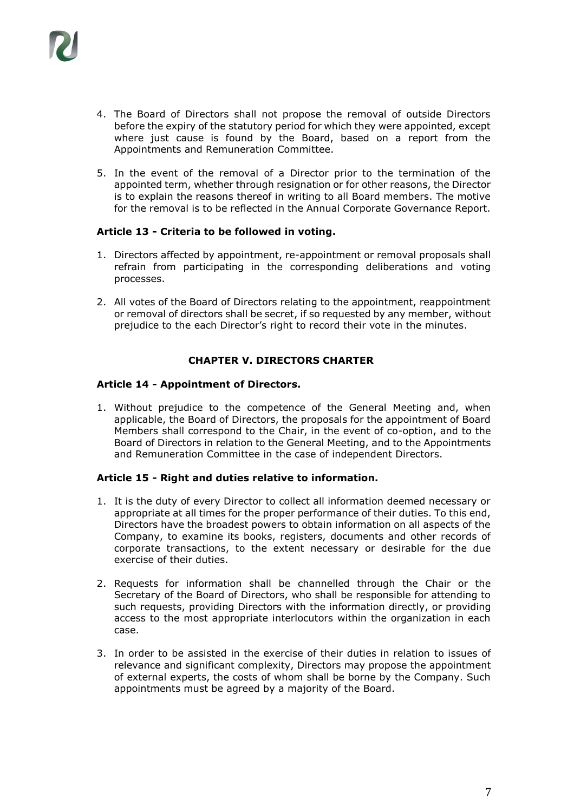

- 4. The Board of Directors shall not propose the removal of outside Directors before the expiry of the statutory period for which they were appointed, except where just cause is found by the Board, based on a report from the Appointments and Remuneration Committee.
- 5. In the event of the removal of a Director prior to the termination of the appointed term, whether through resignation or for other reasons, the Director is to explain the reasons thereof in writing to all Board members. The motive for the removal is to be reflected in the Annual Corporate Governance Report.

## **Article 13 - Criteria to be followed in voting.**

- 1. Directors affected by appointment, re-appointment or removal proposals shall refrain from participating in the corresponding deliberations and voting processes.
- 2. All votes of the Board of Directors relating to the appointment, reappointment or removal of directors shall be secret, if so requested by any member, without prejudice to the each Director's right to record their vote in the minutes.

## **CHAPTER V. DIRECTORS CHARTER**

## **Article 14 - Appointment of Directors.**

1. Without prejudice to the competence of the General Meeting and, when applicable, the Board of Directors, the proposals for the appointment of Board Members shall correspond to the Chair, in the event of co-option, and to the Board of Directors in relation to the General Meeting, and to the Appointments and Remuneration Committee in the case of independent Directors.

## **Article 15 - Right and duties relative to information.**

- 1. It is the duty of every Director to collect all information deemed necessary or appropriate at all times for the proper performance of their duties. To this end, Directors have the broadest powers to obtain information on all aspects of the Company, to examine its books, registers, documents and other records of corporate transactions, to the extent necessary or desirable for the due exercise of their duties.
- 2. Requests for information shall be channelled through the Chair or the Secretary of the Board of Directors, who shall be responsible for attending to such requests, providing Directors with the information directly, or providing access to the most appropriate interlocutors within the organization in each case.
- 3. In order to be assisted in the exercise of their duties in relation to issues of relevance and significant complexity, Directors may propose the appointment of external experts, the costs of whom shall be borne by the Company. Such appointments must be agreed by a majority of the Board.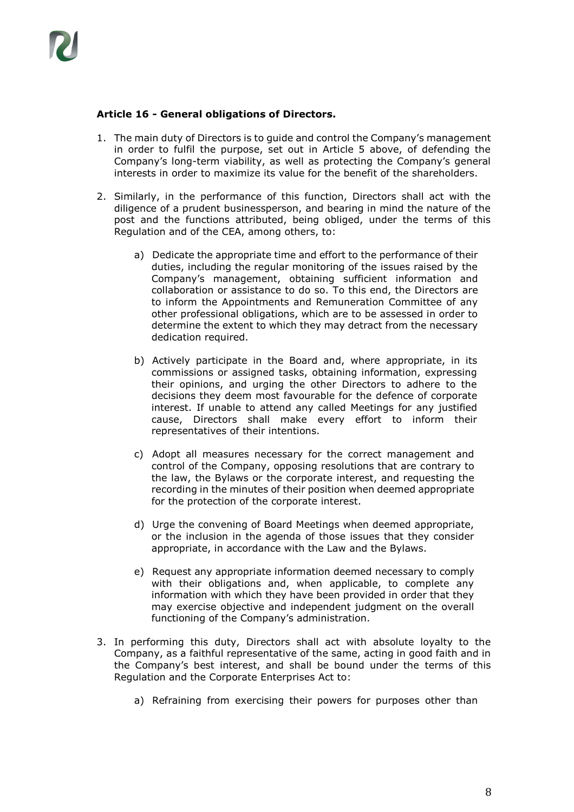## **Article 16 - General obligations of Directors.**

- 1. The main duty of Directors is to guide and control the Company's management in order to fulfil the purpose, set out in Article 5 above, of defending the Company's long-term viability, as well as protecting the Company's general interests in order to maximize its value for the benefit of the shareholders.
- 2. Similarly, in the performance of this function, Directors shall act with the diligence of a prudent businessperson, and bearing in mind the nature of the post and the functions attributed, being obliged, under the terms of this Regulation and of the CEA, among others, to:
	- a) Dedicate the appropriate time and effort to the performance of their duties, including the regular monitoring of the issues raised by the Company's management, obtaining sufficient information and collaboration or assistance to do so. To this end, the Directors are to inform the Appointments and Remuneration Committee of any other professional obligations, which are to be assessed in order to determine the extent to which they may detract from the necessary dedication required.
	- b) Actively participate in the Board and, where appropriate, in its commissions or assigned tasks, obtaining information, expressing their opinions, and urging the other Directors to adhere to the decisions they deem most favourable for the defence of corporate interest. If unable to attend any called Meetings for any justified cause, Directors shall make every effort to inform their representatives of their intentions.
	- c) Adopt all measures necessary for the correct management and control of the Company, opposing resolutions that are contrary to the law, the Bylaws or the corporate interest, and requesting the recording in the minutes of their position when deemed appropriate for the protection of the corporate interest.
	- d) Urge the convening of Board Meetings when deemed appropriate, or the inclusion in the agenda of those issues that they consider appropriate, in accordance with the Law and the Bylaws.
	- e) Request any appropriate information deemed necessary to comply with their obligations and, when applicable, to complete any information with which they have been provided in order that they may exercise objective and independent judgment on the overall functioning of the Company's administration.
- 3. In performing this duty, Directors shall act with absolute loyalty to the Company, as a faithful representative of the same, acting in good faith and in the Company's best interest, and shall be bound under the terms of this Regulation and the Corporate Enterprises Act to:
	- a) Refraining from exercising their powers for purposes other than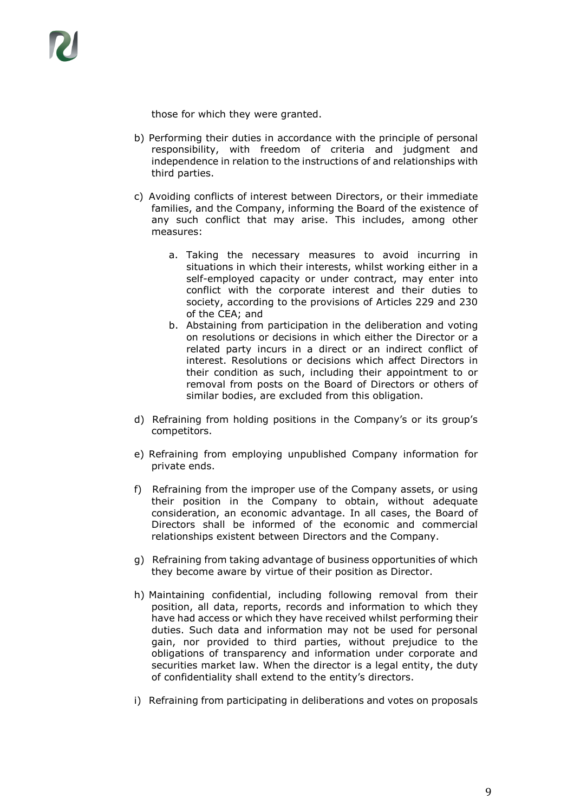

those for which they were granted.

- b) Performing their duties in accordance with the principle of personal responsibility, with freedom of criteria and judgment and independence in relation to the instructions of and relationships with third parties.
- c) Avoiding conflicts of interest between Directors, or their immediate families, and the Company, informing the Board of the existence of any such conflict that may arise. This includes, among other measures:
	- a. Taking the necessary measures to avoid incurring in situations in which their interests, whilst working either in a self-employed capacity or under contract, may enter into conflict with the corporate interest and their duties to society, according to the provisions of Articles 229 and 230 of the CEA; and
	- b. Abstaining from participation in the deliberation and voting on resolutions or decisions in which either the Director or a related party incurs in a direct or an indirect conflict of interest. Resolutions or decisions which affect Directors in their condition as such, including their appointment to or removal from posts on the Board of Directors or others of similar bodies, are excluded from this obligation.
- d) Refraining from holding positions in the Company's or its group's competitors.
- e) Refraining from employing unpublished Company information for private ends.
- f) Refraining from the improper use of the Company assets, or using their position in the Company to obtain, without adequate consideration, an economic advantage. In all cases, the Board of Directors shall be informed of the economic and commercial relationships existent between Directors and the Company.
- g) Refraining from taking advantage of business opportunities of which they become aware by virtue of their position as Director.
- h) Maintaining confidential, including following removal from their position, all data, reports, records and information to which they have had access or which they have received whilst performing their duties. Such data and information may not be used for personal gain, nor provided to third parties, without prejudice to the obligations of transparency and information under corporate and securities market law. When the director is a legal entity, the duty of confidentiality shall extend to the entity's directors.
- i) Refraining from participating in deliberations and votes on proposals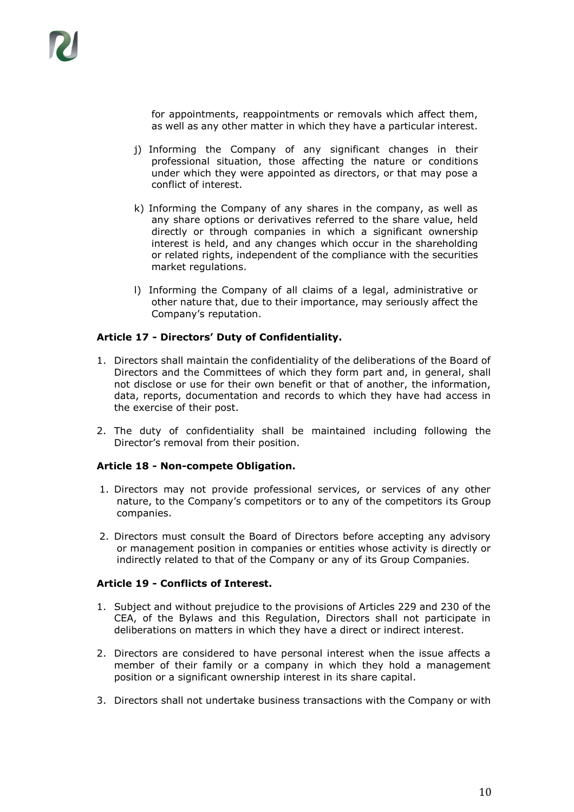

for appointments, reappointments or removals which affect them, as well as any other matter in which they have a particular interest.

- j) Informing the Company of any significant changes in their professional situation, those affecting the nature or conditions under which they were appointed as directors, or that may pose a conflict of interest.
- k) Informing the Company of any shares in the company, as well as any share options or derivatives referred to the share value, held directly or through companies in which a significant ownership interest is held, and any changes which occur in the shareholding or related rights, independent of the compliance with the securities market regulations.
- l) Informing the Company of all claims of a legal, administrative or other nature that, due to their importance, may seriously affect the Company's reputation.

## **Article 17 - Directors' Duty of Confidentiality.**

- 1. Directors shall maintain the confidentiality of the deliberations of the Board of Directors and the Committees of which they form part and, in general, shall not disclose or use for their own benefit or that of another, the information, data, reports, documentation and records to which they have had access in the exercise of their post.
- 2. The duty of confidentiality shall be maintained including following the Director's removal from their position.

## **Article 18 - Non-compete Obligation.**

- 1. Directors may not provide professional services, or services of any other nature, to the Company's competitors or to any of the competitors its Group companies.
- 2. Directors must consult the Board of Directors before accepting any advisory or management position in companies or entities whose activity is directly or indirectly related to that of the Company or any of its Group Companies.

#### **Article 19 - Conflicts of Interest.**

- 1. Subject and without prejudice to the provisions of Articles 229 and 230 of the CEA, of the Bylaws and this Regulation, Directors shall not participate in deliberations on matters in which they have a direct or indirect interest.
- 2. Directors are considered to have personal interest when the issue affects a member of their family or a company in which they hold a management position or a significant ownership interest in its share capital.
- 3. Directors shall not undertake business transactions with the Company or with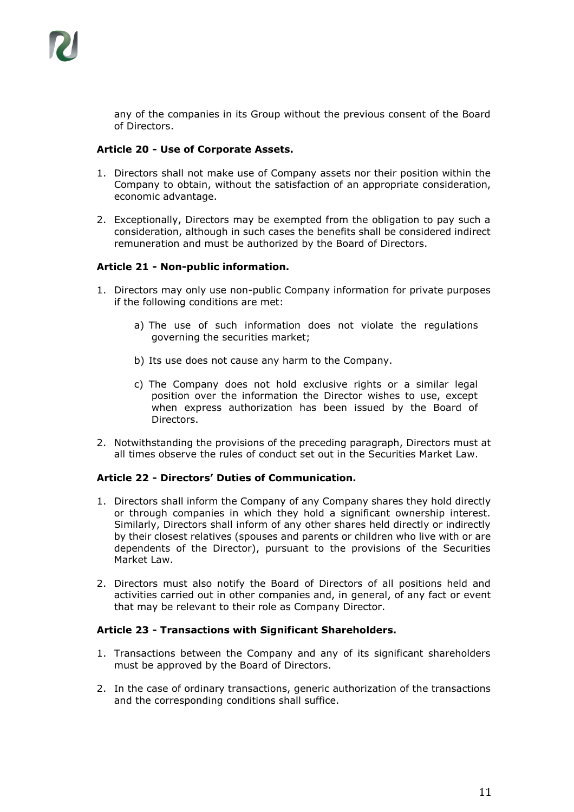

any of the companies in its Group without the previous consent of the Board of Directors.

## **Article 20 - Use of Corporate Assets.**

- 1. Directors shall not make use of Company assets nor their position within the Company to obtain, without the satisfaction of an appropriate consideration, economic advantage.
- 2. Exceptionally, Directors may be exempted from the obligation to pay such a consideration, although in such cases the benefits shall be considered indirect remuneration and must be authorized by the Board of Directors.

## **Article 21 - Non-public information.**

- 1. Directors may only use non-public Company information for private purposes if the following conditions are met:
	- a) The use of such information does not violate the regulations governing the securities market;
	- b) Its use does not cause any harm to the Company.
	- c) The Company does not hold exclusive rights or a similar legal position over the information the Director wishes to use, except when express authorization has been issued by the Board of Directors.
- 2. Notwithstanding the provisions of the preceding paragraph, Directors must at all times observe the rules of conduct set out in the Securities Market Law.

## **Article 22 - Directors' Duties of Communication.**

- 1. Directors shall inform the Company of any Company shares they hold directly or through companies in which they hold a significant ownership interest. Similarly, Directors shall inform of any other shares held directly or indirectly by their closest relatives (spouses and parents or children who live with or are dependents of the Director), pursuant to the provisions of the Securities Market Law.
- 2. Directors must also notify the Board of Directors of all positions held and activities carried out in other companies and, in general, of any fact or event that may be relevant to their role as Company Director.

## **Article 23 - Transactions with Significant Shareholders.**

- 1. Transactions between the Company and any of its significant shareholders must be approved by the Board of Directors.
- 2. In the case of ordinary transactions, generic authorization of the transactions and the corresponding conditions shall suffice.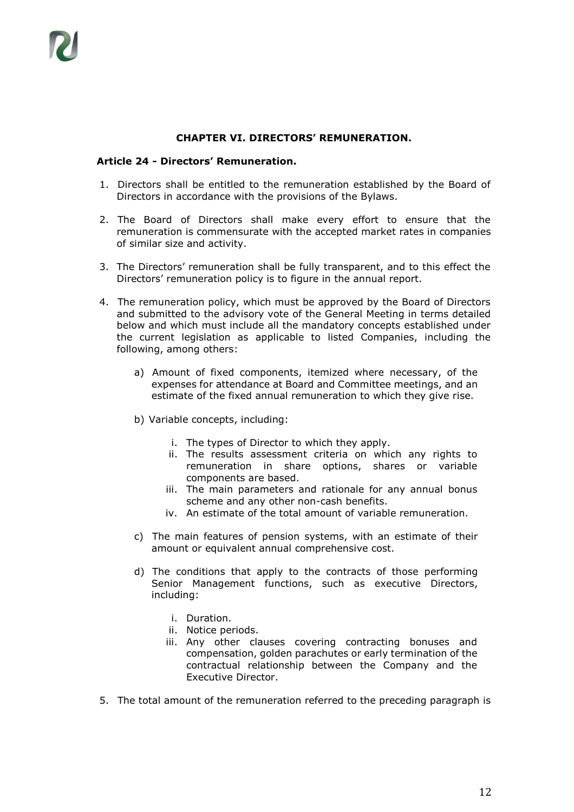## **CHAPTER VI. DIRECTORS' REMUNERATION.**

## **Article 24 - Directors' Remuneration.**

- 1. Directors shall be entitled to the remuneration established by the Board of Directors in accordance with the provisions of the Bylaws.
- 2. The Board of Directors shall make every effort to ensure that the remuneration is commensurate with the accepted market rates in companies of similar size and activity.
- 3. The Directors' remuneration shall be fully transparent, and to this effect the Directors' remuneration policy is to figure in the annual report.
- 4. The remuneration policy, which must be approved by the Board of Directors and submitted to the advisory vote of the General Meeting in terms detailed below and which must include all the mandatory concepts established under the current legislation as applicable to listed Companies, including the following, among others:
	- a) Amount of fixed components, itemized where necessary, of the expenses for attendance at Board and Committee meetings, and an estimate of the fixed annual remuneration to which they give rise.
	- b) Variable concepts, including:
		- i. The types of Director to which they apply.
		- ii. The results assessment criteria on which any rights to remuneration in share options, shares or variable components are based.
		- iii. The main parameters and rationale for any annual bonus scheme and any other non-cash benefits.
		- iv. An estimate of the total amount of variable remuneration.
	- c) The main features of pension systems, with an estimate of their amount or equivalent annual comprehensive cost.
	- d) The conditions that apply to the contracts of those performing Senior Management functions, such as executive Directors, including:
		- i. Duration.
		- ii. Notice periods.
		- iii. Any other clauses covering contracting bonuses and compensation, golden parachutes or early termination of the contractual relationship between the Company and the Executive Director.
- 5. The total amount of the remuneration referred to the preceding paragraph is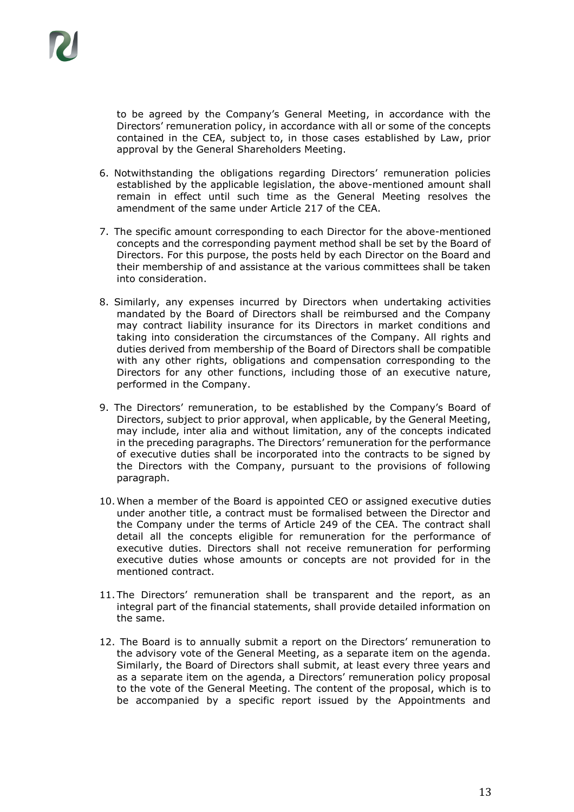to be agreed by the Company's General Meeting, in accordance with the Directors' remuneration policy, in accordance with all or some of the concepts contained in the CEA, subject to, in those cases established by Law, prior approval by the General Shareholders Meeting.

- 6. Notwithstanding the obligations regarding Directors' remuneration policies established by the applicable legislation, the above-mentioned amount shall remain in effect until such time as the General Meeting resolves the amendment of the same under Article 217 of the CEA.
- 7. The specific amount corresponding to each Director for the above-mentioned concepts and the corresponding payment method shall be set by the Board of Directors. For this purpose, the posts held by each Director on the Board and their membership of and assistance at the various committees shall be taken into consideration.
- 8. Similarly, any expenses incurred by Directors when undertaking activities mandated by the Board of Directors shall be reimbursed and the Company may contract liability insurance for its Directors in market conditions and taking into consideration the circumstances of the Company. All rights and duties derived from membership of the Board of Directors shall be compatible with any other rights, obligations and compensation corresponding to the Directors for any other functions, including those of an executive nature, performed in the Company.
- 9. The Directors' remuneration, to be established by the Company's Board of Directors, subject to prior approval, when applicable, by the General Meeting, may include, inter alia and without limitation, any of the concepts indicated in the preceding paragraphs. The Directors' remuneration for the performance of executive duties shall be incorporated into the contracts to be signed by the Directors with the Company, pursuant to the provisions of following paragraph.
- 10. When a member of the Board is appointed CEO or assigned executive duties under another title, a contract must be formalised between the Director and the Company under the terms of Article 249 of the CEA. The contract shall detail all the concepts eligible for remuneration for the performance of executive duties. Directors shall not receive remuneration for performing executive duties whose amounts or concepts are not provided for in the mentioned contract.
- 11. The Directors' remuneration shall be transparent and the report, as an integral part of the financial statements, shall provide detailed information on the same.
- 12. The Board is to annually submit a report on the Directors' remuneration to the advisory vote of the General Meeting, as a separate item on the agenda. Similarly, the Board of Directors shall submit, at least every three years and as a separate item on the agenda, a Directors' remuneration policy proposal to the vote of the General Meeting. The content of the proposal, which is to be accompanied by a specific report issued by the Appointments and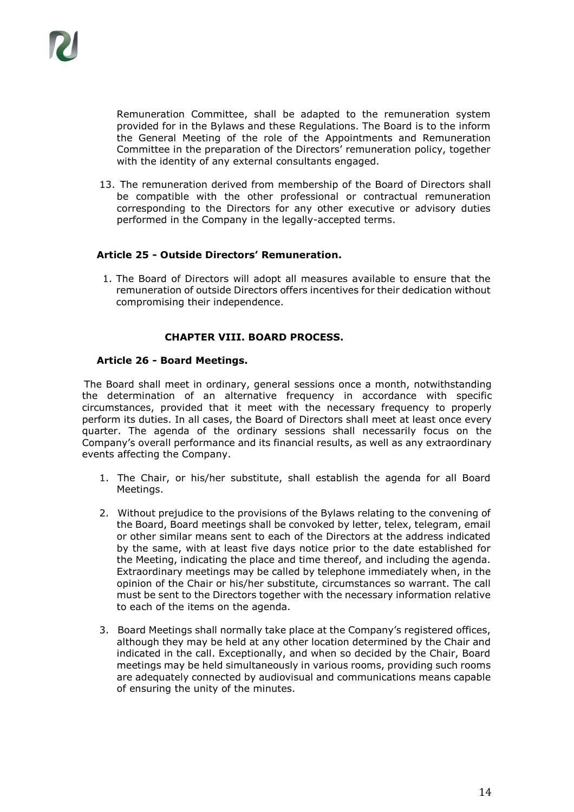Remuneration Committee, shall be adapted to the remuneration system provided for in the Bylaws and these Regulations. The Board is to the inform the General Meeting of the role of the Appointments and Remuneration Committee in the preparation of the Directors' remuneration policy, together with the identity of any external consultants engaged.

13. The remuneration derived from membership of the Board of Directors shall be compatible with the other professional or contractual remuneration corresponding to the Directors for any other executive or advisory duties performed in the Company in the legally-accepted terms.

## **Article 25 - Outside Directors' Remuneration.**

1. The Board of Directors will adopt all measures available to ensure that the remuneration of outside Directors offers incentives for their dedication without compromising their independence.

## **CHAPTER VIII. BOARD PROCESS.**

## **Article 26 - Board Meetings.**

The Board shall meet in ordinary, general sessions once a month, notwithstanding the determination of an alternative frequency in accordance with specific circumstances, provided that it meet with the necessary frequency to properly perform its duties. In all cases, the Board of Directors shall meet at least once every quarter. The agenda of the ordinary sessions shall necessarily focus on the Company's overall performance and its financial results, as well as any extraordinary events affecting the Company.

- 1. The Chair, or his/her substitute, shall establish the agenda for all Board Meetings.
- 2. Without prejudice to the provisions of the Bylaws relating to the convening of the Board, Board meetings shall be convoked by letter, telex, telegram, email or other similar means sent to each of the Directors at the address indicated by the same, with at least five days notice prior to the date established for the Meeting, indicating the place and time thereof, and including the agenda. Extraordinary meetings may be called by telephone immediately when, in the opinion of the Chair or his/her substitute, circumstances so warrant. The call must be sent to the Directors together with the necessary information relative to each of the items on the agenda.
- 3. Board Meetings shall normally take place at the Company's registered offices, although they may be held at any other location determined by the Chair and indicated in the call. Exceptionally, and when so decided by the Chair, Board meetings may be held simultaneously in various rooms, providing such rooms are adequately connected by audiovisual and communications means capable of ensuring the unity of the minutes.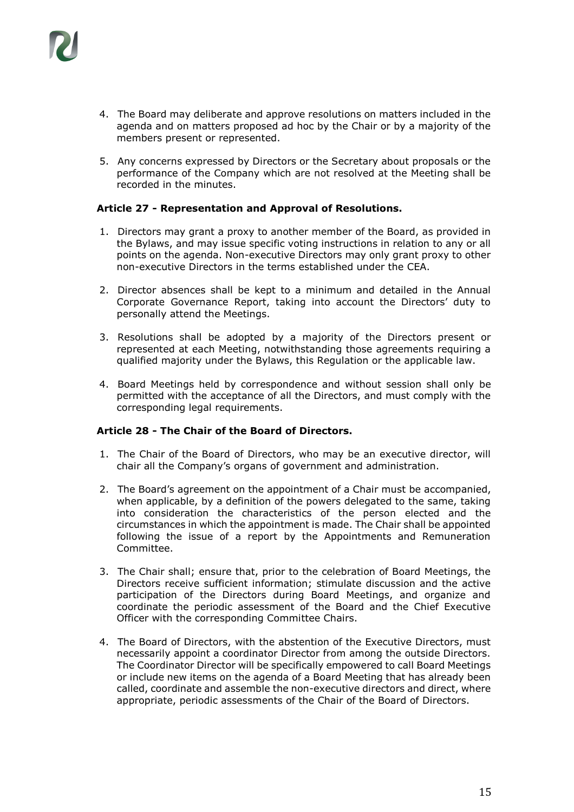

- 4. The Board may deliberate and approve resolutions on matters included in the agenda and on matters proposed ad hoc by the Chair or by a majority of the members present or represented.
- 5. Any concerns expressed by Directors or the Secretary about proposals or the performance of the Company which are not resolved at the Meeting shall be recorded in the minutes.

## **Article 27 - Representation and Approval of Resolutions.**

- 1. Directors may grant a proxy to another member of the Board, as provided in the Bylaws, and may issue specific voting instructions in relation to any or all points on the agenda. Non-executive Directors may only grant proxy to other non-executive Directors in the terms established under the CEA.
- 2. Director absences shall be kept to a minimum and detailed in the Annual Corporate Governance Report, taking into account the Directors' duty to personally attend the Meetings.
- 3. Resolutions shall be adopted by a majority of the Directors present or represented at each Meeting, notwithstanding those agreements requiring a qualified majority under the Bylaws, this Regulation or the applicable law.
- 4. Board Meetings held by correspondence and without session shall only be permitted with the acceptance of all the Directors, and must comply with the corresponding legal requirements.

## **Article 28 - The Chair of the Board of Directors.**

- 1. The Chair of the Board of Directors, who may be an executive director, will chair all the Company's organs of government and administration.
- 2. The Board's agreement on the appointment of a Chair must be accompanied, when applicable, by a definition of the powers delegated to the same, taking into consideration the characteristics of the person elected and the circumstances in which the appointment is made. The Chair shall be appointed following the issue of a report by the Appointments and Remuneration Committee.
- 3. The Chair shall; ensure that, prior to the celebration of Board Meetings, the Directors receive sufficient information; stimulate discussion and the active participation of the Directors during Board Meetings, and organize and coordinate the periodic assessment of the Board and the Chief Executive Officer with the corresponding Committee Chairs.
- 4. The Board of Directors, with the abstention of the Executive Directors, must necessarily appoint a coordinator Director from among the outside Directors. The Coordinator Director will be specifically empowered to call Board Meetings or include new items on the agenda of a Board Meeting that has already been called, coordinate and assemble the non-executive directors and direct, where appropriate, periodic assessments of the Chair of the Board of Directors.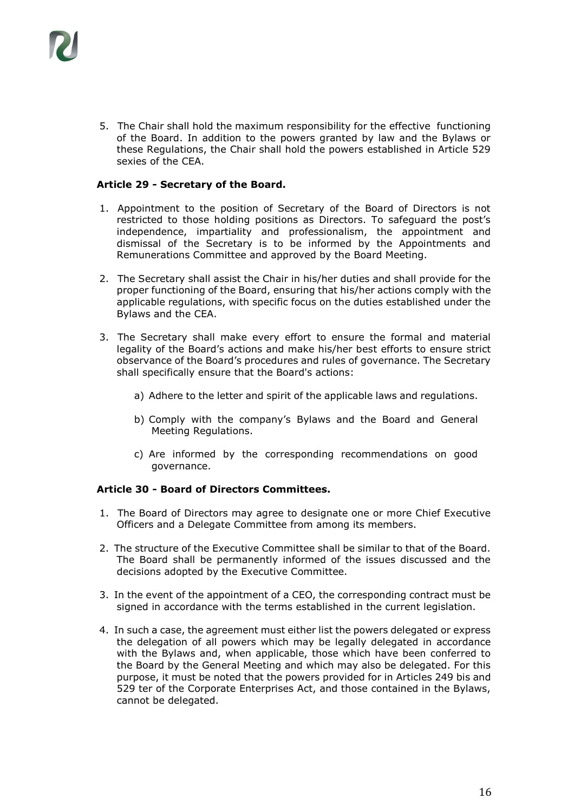

5. The Chair shall hold the maximum responsibility for the effective functioning of the Board. In addition to the powers granted by law and the Bylaws or these Regulations, the Chair shall hold the powers established in Article 529 sexies of the CEA.

## **Article 29 - Secretary of the Board.**

- 1. Appointment to the position of Secretary of the Board of Directors is not restricted to those holding positions as Directors. To safeguard the post's independence, impartiality and professionalism, the appointment and dismissal of the Secretary is to be informed by the Appointments and Remunerations Committee and approved by the Board Meeting.
- 2. The Secretary shall assist the Chair in his/her duties and shall provide for the proper functioning of the Board, ensuring that his/her actions comply with the applicable regulations, with specific focus on the duties established under the Bylaws and the CEA.
- 3. The Secretary shall make every effort to ensure the formal and material legality of the Board's actions and make his/her best efforts to ensure strict observance of the Board's procedures and rules of governance. The Secretary shall specifically ensure that the Board's actions:
	- a) Adhere to the letter and spirit of the applicable laws and regulations.
	- b) Comply with the company's Bylaws and the Board and General Meeting Regulations.
	- c) Are informed by the corresponding recommendations on good governance.

## **Article 30 - Board of Directors Committees.**

- 1. The Board of Directors may agree to designate one or more Chief Executive Officers and a Delegate Committee from among its members.
- 2. The structure of the Executive Committee shall be similar to that of the Board. The Board shall be permanently informed of the issues discussed and the decisions adopted by the Executive Committee.
- 3. In the event of the appointment of a CEO, the corresponding contract must be signed in accordance with the terms established in the current legislation.
- 4. In such a case, the agreement must either list the powers delegated or express the delegation of all powers which may be legally delegated in accordance with the Bylaws and, when applicable, those which have been conferred to the Board by the General Meeting and which may also be delegated. For this purpose, it must be noted that the powers provided for in Articles 249 bis and 529 ter of the Corporate Enterprises Act, and those contained in the Bylaws, cannot be delegated.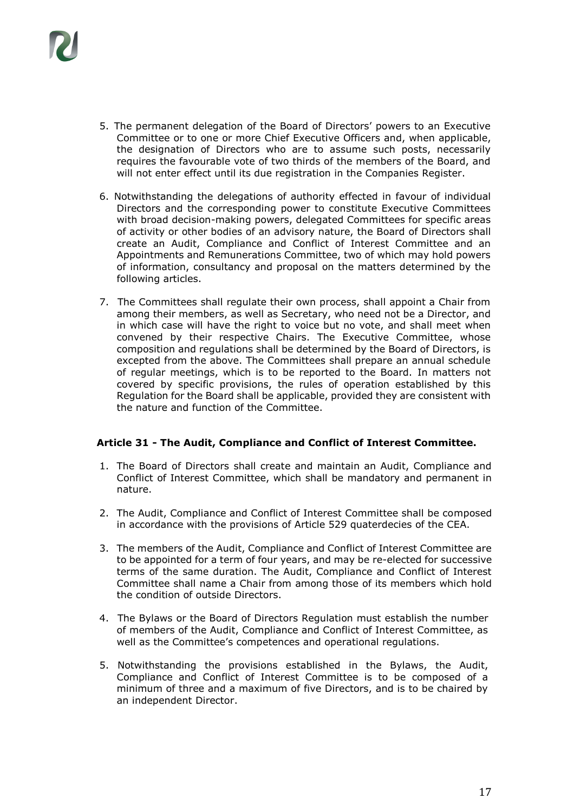

- 5. The permanent delegation of the Board of Directors' powers to an Executive Committee or to one or more Chief Executive Officers and, when applicable, the designation of Directors who are to assume such posts, necessarily requires the favourable vote of two thirds of the members of the Board, and will not enter effect until its due registration in the Companies Register.
- 6. Notwithstanding the delegations of authority effected in favour of individual Directors and the corresponding power to constitute Executive Committees with broad decision-making powers, delegated Committees for specific areas of activity or other bodies of an advisory nature, the Board of Directors shall create an Audit, Compliance and Conflict of Interest Committee and an Appointments and Remunerations Committee, two of which may hold powers of information, consultancy and proposal on the matters determined by the following articles.
- 7. The Committees shall regulate their own process, shall appoint a Chair from among their members, as well as Secretary, who need not be a Director, and in which case will have the right to voice but no vote, and shall meet when convened by their respective Chairs. The Executive Committee, whose composition and regulations shall be determined by the Board of Directors, is excepted from the above. The Committees shall prepare an annual schedule of regular meetings, which is to be reported to the Board. In matters not covered by specific provisions, the rules of operation established by this Regulation for the Board shall be applicable, provided they are consistent with the nature and function of the Committee.

## **Article 31 - The Audit, Compliance and Conflict of Interest Committee.**

- 1. The Board of Directors shall create and maintain an Audit, Compliance and Conflict of Interest Committee, which shall be mandatory and permanent in nature.
- 2. The Audit, Compliance and Conflict of Interest Committee shall be composed in accordance with the provisions of Article 529 quaterdecies of the CEA.
- 3. The members of the Audit, Compliance and Conflict of Interest Committee are to be appointed for a term of four years, and may be re-elected for successive terms of the same duration. The Audit, Compliance and Conflict of Interest Committee shall name a Chair from among those of its members which hold the condition of outside Directors.
- 4. The Bylaws or the Board of Directors Regulation must establish the number of members of the Audit, Compliance and Conflict of Interest Committee, as well as the Committee's competences and operational regulations.
- 5. Notwithstanding the provisions established in the Bylaws, the Audit, Compliance and Conflict of Interest Committee is to be composed of a minimum of three and a maximum of five Directors, and is to be chaired by an independent Director.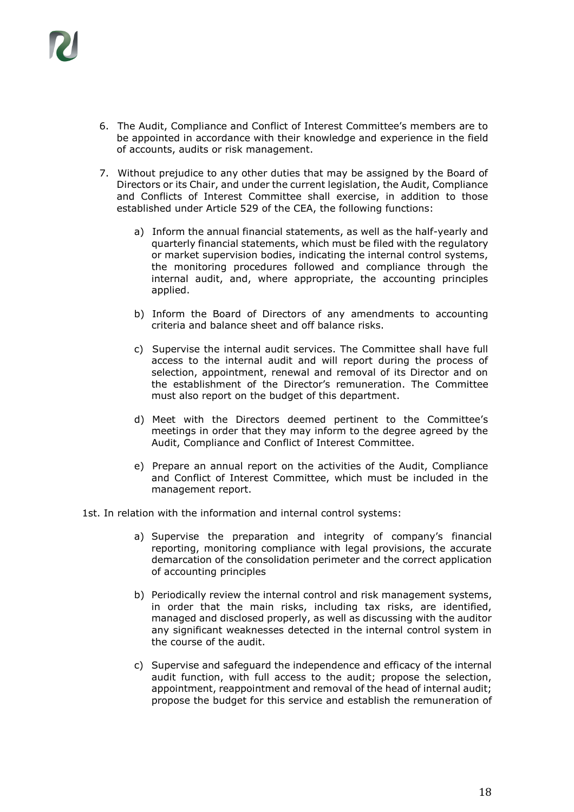

- 6. The Audit, Compliance and Conflict of Interest Committee's members are to be appointed in accordance with their knowledge and experience in the field of accounts, audits or risk management.
- 7. Without prejudice to any other duties that may be assigned by the Board of Directors or its Chair, and under the current legislation, the Audit, Compliance and Conflicts of Interest Committee shall exercise, in addition to those established under Article 529 of the CEA, the following functions:
	- a) Inform the annual financial statements, as well as the half-yearly and quarterly financial statements, which must be filed with the regulatory or market supervision bodies, indicating the internal control systems, the monitoring procedures followed and compliance through the internal audit, and, where appropriate, the accounting principles applied.
	- b) Inform the Board of Directors of any amendments to accounting criteria and balance sheet and off balance risks.
	- c) Supervise the internal audit services. The Committee shall have full access to the internal audit and will report during the process of selection, appointment, renewal and removal of its Director and on the establishment of the Director's remuneration. The Committee must also report on the budget of this department.
	- d) Meet with the Directors deemed pertinent to the Committee's meetings in order that they may inform to the degree agreed by the Audit, Compliance and Conflict of Interest Committee.
	- e) Prepare an annual report on the activities of the Audit, Compliance and Conflict of Interest Committee, which must be included in the management report.
- 1st. In relation with the information and internal control systems:
	- a) Supervise the preparation and integrity of company's financial reporting, monitoring compliance with legal provisions, the accurate demarcation of the consolidation perimeter and the correct application of accounting principles
	- b) Periodically review the internal control and risk management systems, in order that the main risks, including tax risks, are identified, managed and disclosed properly, as well as discussing with the auditor any significant weaknesses detected in the internal control system in the course of the audit.
	- c) Supervise and safeguard the independence and efficacy of the internal audit function, with full access to the audit; propose the selection, appointment, reappointment and removal of the head of internal audit; propose the budget for this service and establish the remuneration of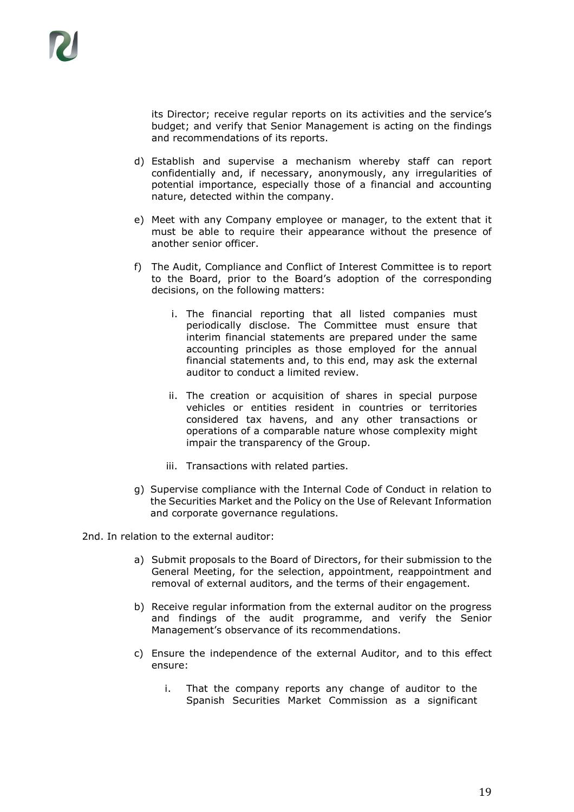its Director; receive regular reports on its activities and the service's budget; and verify that Senior Management is acting on the findings and recommendations of its reports.

- d) Establish and supervise a mechanism whereby staff can report confidentially and, if necessary, anonymously, any irregularities of potential importance, especially those of a financial and accounting nature, detected within the company.
- e) Meet with any Company employee or manager, to the extent that it must be able to require their appearance without the presence of another senior officer.
- f) The Audit, Compliance and Conflict of Interest Committee is to report to the Board, prior to the Board's adoption of the corresponding decisions, on the following matters:
	- i. The financial reporting that all listed companies must periodically disclose. The Committee must ensure that interim financial statements are prepared under the same accounting principles as those employed for the annual financial statements and, to this end, may ask the external auditor to conduct a limited review.
	- ii. The creation or acquisition of shares in special purpose vehicles or entities resident in countries or territories considered tax havens, and any other transactions or operations of a comparable nature whose complexity might impair the transparency of the Group.
	- iii. Transactions with related parties.
- g) Supervise compliance with the Internal Code of Conduct in relation to the Securities Market and the Policy on the Use of Relevant Information and corporate governance regulations.

2nd. In relation to the external auditor:

- a) Submit proposals to the Board of Directors, for their submission to the General Meeting, for the selection, appointment, reappointment and removal of external auditors, and the terms of their engagement.
- b) Receive regular information from the external auditor on the progress and findings of the audit programme, and verify the Senior Management's observance of its recommendations.
- c) Ensure the independence of the external Auditor, and to this effect ensure:
	- i. That the company reports any change of auditor to the Spanish Securities Market Commission as a significant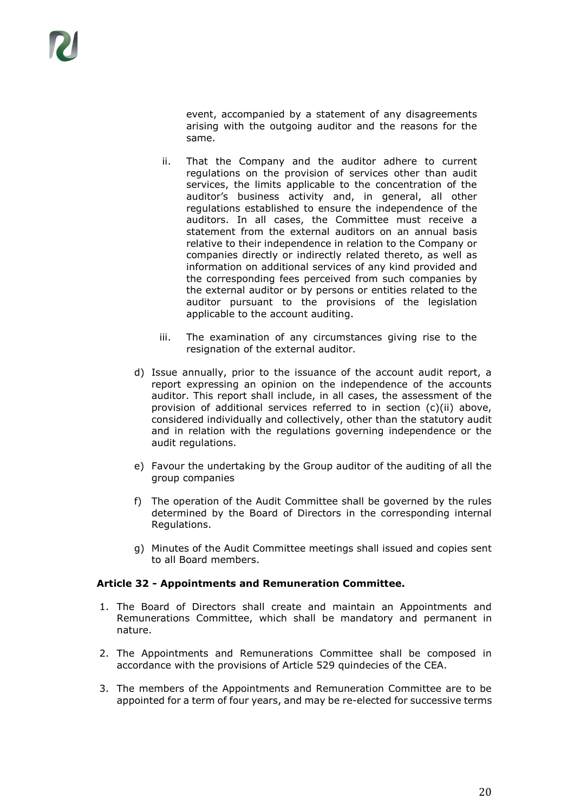event, accompanied by a statement of any disagreements arising with the outgoing auditor and the reasons for the same.

- ii. That the Company and the auditor adhere to current regulations on the provision of services other than audit services, the limits applicable to the concentration of the auditor's business activity and, in general, all other regulations established to ensure the independence of the auditors. In all cases, the Committee must receive a statement from the external auditors on an annual basis relative to their independence in relation to the Company or companies directly or indirectly related thereto, as well as information on additional services of any kind provided and the corresponding fees perceived from such companies by the external auditor or by persons or entities related to the auditor pursuant to the provisions of the legislation applicable to the account auditing.
- iii. The examination of any circumstances giving rise to the resignation of the external auditor.
- d) Issue annually, prior to the issuance of the account audit report, a report expressing an opinion on the independence of the accounts auditor. This report shall include, in all cases, the assessment of the provision of additional services referred to in section (c)(ii) above, considered individually and collectively, other than the statutory audit and in relation with the regulations governing independence or the audit regulations.
- e) Favour the undertaking by the Group auditor of the auditing of all the group companies
- f) The operation of the Audit Committee shall be governed by the rules determined by the Board of Directors in the corresponding internal Regulations.
- g) Minutes of the Audit Committee meetings shall issued and copies sent to all Board members.

## **Article 32 - Appointments and Remuneration Committee.**

- 1. The Board of Directors shall create and maintain an Appointments and Remunerations Committee, which shall be mandatory and permanent in nature.
- 2. The Appointments and Remunerations Committee shall be composed in accordance with the provisions of Article 529 quindecies of the CEA.
- 3. The members of the Appointments and Remuneration Committee are to be appointed for a term of four years, and may be re-elected for successive terms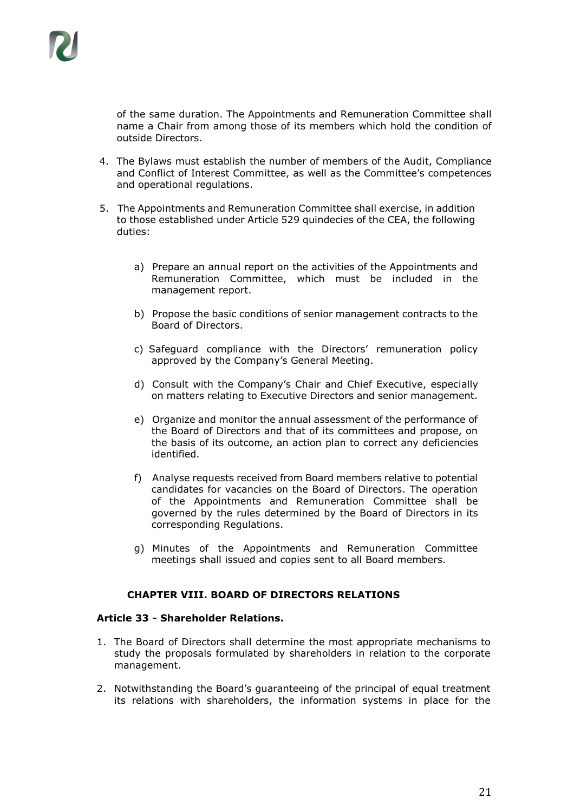

of the same duration. The Appointments and Remuneration Committee shall name a Chair from among those of its members which hold the condition of outside Directors.

- 4. The Bylaws must establish the number of members of the Audit, Compliance and Conflict of Interest Committee, as well as the Committee's competences and operational regulations.
- 5. The Appointments and Remuneration Committee shall exercise, in addition to those established under Article 529 quindecies of the CEA, the following duties:
	- a) Prepare an annual report on the activities of the Appointments and Remuneration Committee, which must be included in the management report.
	- b) Propose the basic conditions of senior management contracts to the Board of Directors.
	- c) Safeguard compliance with the Directors' remuneration policy approved by the Company's General Meeting.
	- d) Consult with the Company's Chair and Chief Executive, especially on matters relating to Executive Directors and senior management.
	- e) Organize and monitor the annual assessment of the performance of the Board of Directors and that of its committees and propose, on the basis of its outcome, an action plan to correct any deficiencies identified.
	- f) Analyse requests received from Board members relative to potential candidates for vacancies on the Board of Directors. The operation of the Appointments and Remuneration Committee shall be governed by the rules determined by the Board of Directors in its corresponding Regulations.
	- g) Minutes of the Appointments and Remuneration Committee meetings shall issued and copies sent to all Board members.

## **CHAPTER VIII. BOARD OF DIRECTORS RELATIONS**

## **Article 33 - Shareholder Relations.**

- 1. The Board of Directors shall determine the most appropriate mechanisms to study the proposals formulated by shareholders in relation to the corporate management.
- 2. Notwithstanding the Board's guaranteeing of the principal of equal treatment its relations with shareholders, the information systems in place for the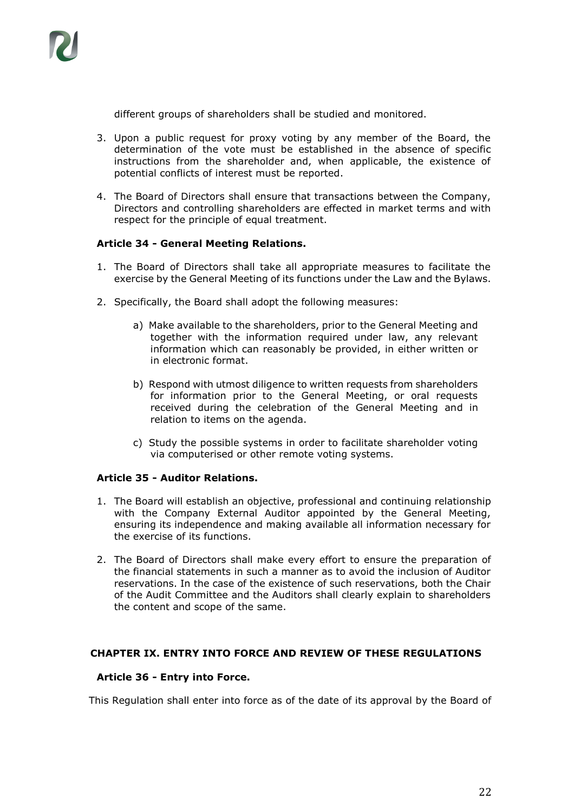

different groups of shareholders shall be studied and monitored.

- 3. Upon a public request for proxy voting by any member of the Board, the determination of the vote must be established in the absence of specific instructions from the shareholder and, when applicable, the existence of potential conflicts of interest must be reported.
- 4. The Board of Directors shall ensure that transactions between the Company, Directors and controlling shareholders are effected in market terms and with respect for the principle of equal treatment.

## **Article 34 - General Meeting Relations.**

- 1. The Board of Directors shall take all appropriate measures to facilitate the exercise by the General Meeting of its functions under the Law and the Bylaws.
- 2. Specifically, the Board shall adopt the following measures:
	- a) Make available to the shareholders, prior to the General Meeting and together with the information required under law, any relevant information which can reasonably be provided, in either written or in electronic format.
	- b) Respond with utmost diligence to written requests from shareholders for information prior to the General Meeting, or oral requests received during the celebration of the General Meeting and in relation to items on the agenda.
	- c) Study the possible systems in order to facilitate shareholder voting via computerised or other remote voting systems.

## **Article 35 - Auditor Relations.**

- 1. The Board will establish an objective, professional and continuing relationship with the Company External Auditor appointed by the General Meeting, ensuring its independence and making available all information necessary for the exercise of its functions.
- 2. The Board of Directors shall make every effort to ensure the preparation of the financial statements in such a manner as to avoid the inclusion of Auditor reservations. In the case of the existence of such reservations, both the Chair of the Audit Committee and the Auditors shall clearly explain to shareholders the content and scope of the same.

## **CHAPTER IX. ENTRY INTO FORCE AND REVIEW OF THESE REGULATIONS**

## **Article 36 - Entry into Force.**

This Regulation shall enter into force as of the date of its approval by the Board of